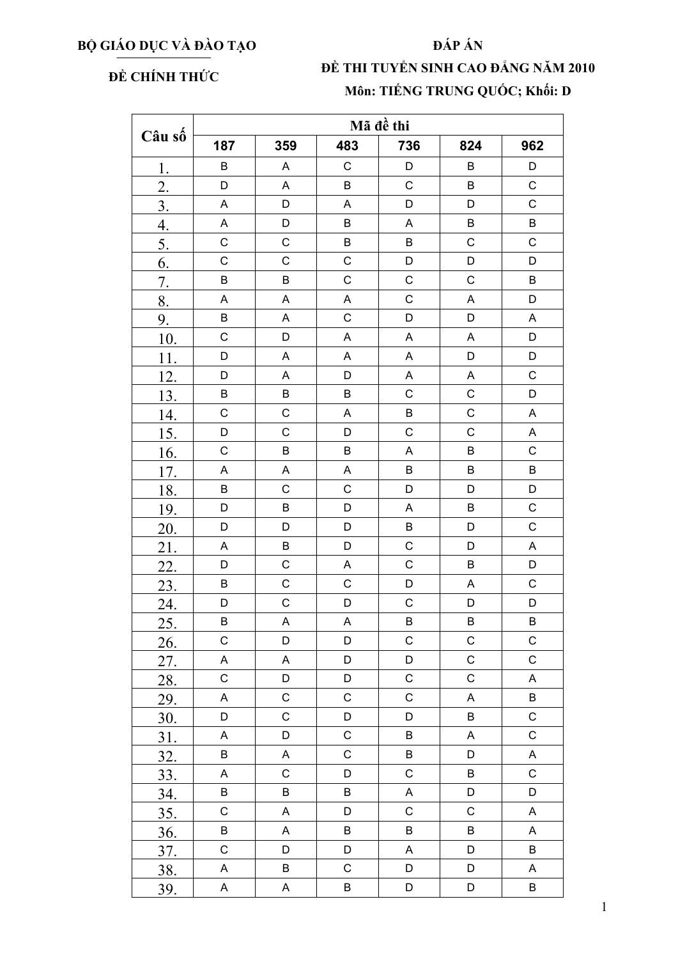## BỘ GIÁO DỤC VÀ ĐÀO TẠO

## ĐẤP ÁN

## ĐỀ CHÍNH THỨC

## ĐỀ THI TUYỂN SINH CAO ĐẰNG NĂM 2010 Môn: TIẾNG TRUNG QUỐC; Khối: D

| Câu số           | Mã đề thi                 |             |             |                           |                           |              |  |  |
|------------------|---------------------------|-------------|-------------|---------------------------|---------------------------|--------------|--|--|
|                  | 187                       | 359         | 483         | 736                       | 824                       | 962          |  |  |
| 1.               | $\sf B$                   | A           | $\mathsf C$ | D                         | B                         | D            |  |  |
| $\overline{2}$ . | D                         | A           | $\sf B$     | $\mathsf{C}$              | B                         | $\mathsf C$  |  |  |
| $\overline{3}$ . | $\boldsymbol{\mathsf{A}}$ | D           | $\mathsf A$ | D                         | D                         | $\mathsf C$  |  |  |
| $\overline{4}$ . | $\mathsf A$               | D           | B           | $\boldsymbol{\mathsf{A}}$ | B                         | B            |  |  |
| $\overline{5}$ . | $\mathsf{C}$              | $\mathsf C$ | B           | $\sf B$                   | $\mathsf C$               | $\mathsf C$  |  |  |
| 6.               | $\mathsf C$               | $\mathsf C$ | $\mathsf C$ | D                         | D                         | D            |  |  |
| 7.               | $\sf B$                   | B           | $\mathsf C$ | $\mathsf C$               | $\mathsf C$               | $\sf B$      |  |  |
| 8.               | $\mathsf A$               | A           | A           | $\mathsf C$               | A                         | D            |  |  |
| 9.               | B                         | A           | $\mathsf C$ | D                         | D                         | A            |  |  |
| 10.              | $\mathsf C$               | D           | A           | $\sf A$                   | A                         | D            |  |  |
| 11.              | D                         | A           | A           | $\mathsf A$               | D                         | D            |  |  |
| 12.              | D                         | $\mathsf A$ | D           | $\boldsymbol{\mathsf{A}}$ | A                         | $\mathsf C$  |  |  |
| 13.              | $\sf B$                   | B           | B           | $\mathbf C$               | $\mathsf C$               | D            |  |  |
| 14.              | $\mathsf{C}$              | $\mathsf C$ | A           | $\sf B$                   | $\mathsf C$               | A            |  |  |
| 15.              | D                         | $\mathsf C$ | D           | $\mathsf C$               | $\mathsf C$               | A            |  |  |
| 16.              | $\mathsf{C}$              | B           | $\sf B$     | $\sf A$                   | $\sf B$                   | $\mathsf{C}$ |  |  |
| 17.              | A                         | A           | A           | B                         | $\sf B$                   | B            |  |  |
| 18.              | B                         | $\mathsf C$ | С           | D                         | D                         | D            |  |  |
| 19.              | D                         | B           | D           | $\boldsymbol{\mathsf{A}}$ | $\sf B$                   | $\mathsf{C}$ |  |  |
| 20.              | D                         | D           | D           | $\sf B$                   | D                         | $\mathsf C$  |  |  |
| 21.              | $\boldsymbol{\mathsf{A}}$ | B           | D           | $\mathsf C$               | D                         | $\sf A$      |  |  |
| 22.              | D                         | $\mathsf C$ | A           | $\mathsf C$               | B                         | D            |  |  |
| 23.              | $\sf B$                   | $\mathsf C$ | $\mathsf C$ | D                         | $\mathsf A$               | $\mathsf{C}$ |  |  |
| 24.              | D                         | $\mathsf C$ | D           | $\mathbf C$               | D                         | D            |  |  |
| 25.              | B                         | A           | A           | B                         | $\sf B$                   | $\sf B$      |  |  |
| 26.              | $\mathsf C$               | D           | D           | $\mathsf C$               | C                         | $\mathsf C$  |  |  |
| 27.              | A                         | A           | D           | D                         | $\mathsf C$               | $\mathsf C$  |  |  |
| 28.              | $\mathsf C$               | D           | D           | $\mathsf C$               | $\mathsf C$               | A            |  |  |
| 29.              | A                         | $\mathsf C$ | $\mathsf C$ | $\mathsf C$               | A                         | $\sf B$      |  |  |
| 30.              | D                         | C           | D           | D                         | B                         | $\mathsf C$  |  |  |
| 31.              | A                         | D           | $\mathsf C$ | B                         | $\boldsymbol{\mathsf{A}}$ | $\mathsf C$  |  |  |
| 32.              | B                         | $\mathsf A$ | $\mathsf C$ | B                         | $\mathsf D$               | $\mathsf A$  |  |  |
| 33.              | A                         | $\mathsf C$ | D           | $\mathsf C$               | B                         | $\mathsf C$  |  |  |
| 34.              | B                         | B           | B           | $\mathsf A$               | D                         | $\mathsf D$  |  |  |
| 35.              | $\mathsf C$               | A           | D           | $\mathsf C$               | $\mathsf C$               | A            |  |  |
| <u>36.</u>       | B                         | A           | B           | B                         | B                         | A            |  |  |
| 37.              | $\mathsf C$               | D           | D           | A                         | D                         | B            |  |  |
| 38.              | A                         | B           | $\mathsf C$ | D                         | D                         | A            |  |  |
| 39               | $\mathsf A$               | $\mathsf A$ | B           | D                         | D                         | B            |  |  |